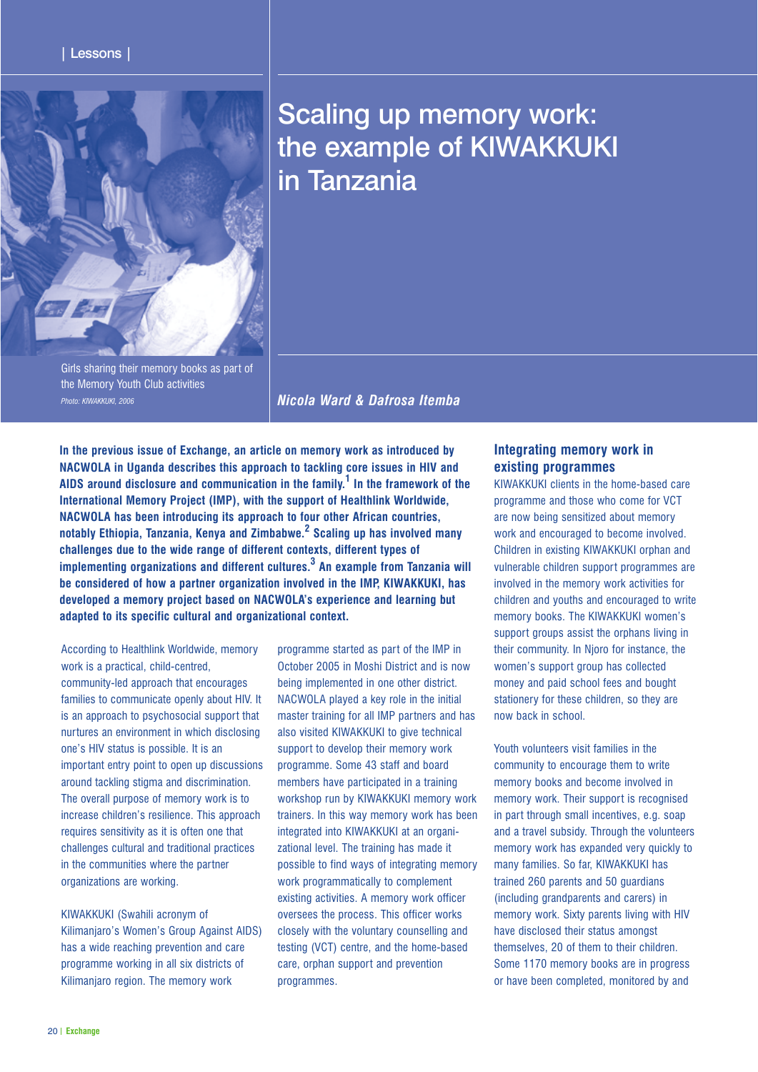

# Scaling up memory work: the example of KIWAKKUKI in Tanzania

Girls sharing their memory books as part of the Memory Youth Club activities *Photo: KIWAKKUKI, 2006*

*Nicola Ward & Dafrosa Itemba*

**In the previous issue of Exchange, an article on memory work as introduced by NACWOLA in Uganda describes this approach to tackling core issues in HIV and AIDS around disclosure and communication in the family.<sup>1</sup> In the framework of the International Memory Project (IMP), with the support of Healthlink Worldwide, NACWOLA has been introducing its approach to four other African countries, notably Ethiopia, Tanzania, Kenya and Zimbabwe.<sup>2</sup> Scaling up has involved many challenges due to the wide range of different contexts, different types of implementing organizations and different cultures.<sup>3</sup> An example from Tanzania will be considered of how a partner organization involved in the IMP, KIWAKKUKI, has developed a memory project based on NACWOLA's experience and learning but adapted to its specific cultural and organizational context.**

According to Healthlink Worldwide, memory work is a practical, child-centred, community-led approach that encourages families to communicate openly about HIV. It is an approach to psychosocial support that nurtures an environment in which disclosing one's HIV status is possible. It is an important entry point to open up discussions around tackling stigma and discrimination. The overall purpose of memory work is to increase children's resilience. This approach requires sensitivity as it is often one that challenges cultural and traditional practices in the communities where the partner organizations are working.

KIWAKKUKI (Swahili acronym of Kilimanjaro's Women's Group Against AIDS) has a wide reaching prevention and care programme working in all six districts of Kilimanjaro region. The memory work

programme started as part of the IMP in October 2005 in Moshi District and is now being implemented in one other district. NACWOLA played a key role in the initial master training for all IMP partners and has also visited KIWAKKUKI to give technical support to develop their memory work programme. Some 43 staff and board members have participated in a training workshop run by KIWAKKUKI memory work trainers. In this way memory work has been integrated into KIWAKKUKI at an organizational level. The training has made it possible to find ways of integrating memory work programmatically to complement existing activities. A memory work officer oversees the process. This officer works closely with the voluntary counselling and testing (VCT) centre, and the home-based care, orphan support and prevention programmes.

## **Integrating memory work in existing programmes**

KIWAKKUKI clients in the home-based care programme and those who come for VCT are now being sensitized about memory work and encouraged to become involved. Children in existing KIWAKKUKI orphan and vulnerable children support programmes are involved in the memory work activities for children and youths and encouraged to write memory books. The KIWAKKUKI women's support groups assist the orphans living in their community. In Njoro for instance, the women's support group has collected money and paid school fees and bought stationery for these children, so they are now back in school.

Youth volunteers visit families in the community to encourage them to write memory books and become involved in memory work. Their support is recognised in part through small incentives, e.g. soap and a travel subsidy. Through the volunteers memory work has expanded very quickly to many families. So far, KIWAKKUKI has trained 260 parents and 50 guardians (including grandparents and carers) in memory work. Sixty parents living with HIV have disclosed their status amongst themselves, 20 of them to their children. Some 1170 memory books are in progress or have been completed, monitored by and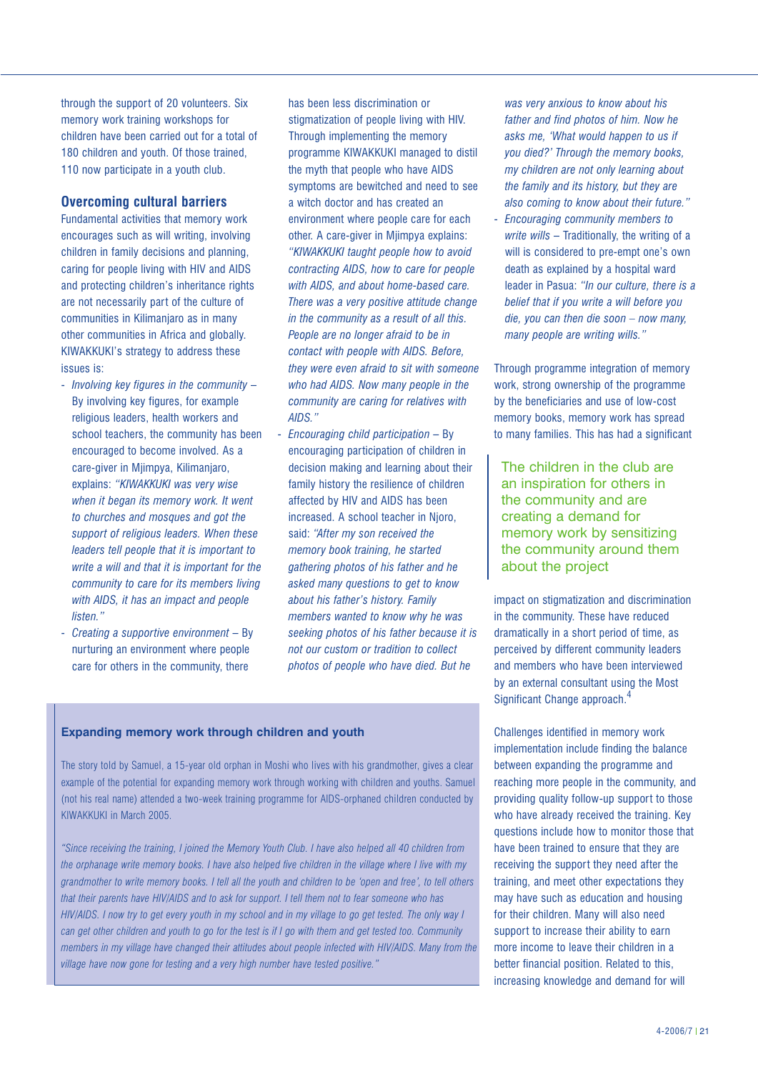through the support of 20 volunteers. Six memory work training workshops for children have been carried out for a total of 180 children and youth. Of those trained, 110 now participate in a youth club.

### **Overcoming cultural barriers**

Fundamental activities that memory work encourages such as will writing, involving children in family decisions and planning, caring for people living with HIV and AIDS and protecting children's inheritance rights are not necessarily part of the culture of communities in Kilimanjaro as in many other communities in Africa and globally. KIWAKKUKI's strategy to address these issues is:

- *Involving key figures in the community*  By involving key figures, for example religious leaders, health workers and school teachers, the community has been encouraged to become involved. As a care-giver in Mjimpya, Kilimanjaro, explains: *"KIWAKKUKI was very wise when it began its memory work. It went to churches and mosques and got the support of religious leaders. When these leaders tell people that it is important to write a will and that it is important for the community to care for its members living with AIDS, it has an impact and people listen."*
- *Creating a supportive environment*  By nurturing an environment where people care for others in the community, there

has been less discrimination or stigmatization of people living with HIV. Through implementing the memory programme KIWAKKUKI managed to distil the myth that people who have AIDS symptoms are bewitched and need to see a witch doctor and has created an environment where people care for each other. A care-giver in Milmpya explains: *"KIWAKKUKI taught people how to avoid contracting AIDS, how to care for people with AIDS, and about home-based care. There was a very positive attitude change in the community as a result of all this. People are no longer afraid to be in contact with people with AIDS. Before, they were even afraid to sit with someone who had AIDS. Now many people in the community are caring for relatives with AIDS."*

- *Encouraging child participation* – By encouraging participation of children in decision making and learning about their family history the resilience of children affected by HIV and AIDS has been increased. A school teacher in Njoro, said: *"After my son received the memory book training, he started gathering photos of his father and he asked many questions to get to know about his father's history. Family members wanted to know why he was seeking photos of his father because it is not our custom or tradition to collect photos of people who have died. But he*

## **Expanding memory work through children and youth**

The story told by Samuel, a 15-year old orphan in Moshi who lives with his grandmother, gives a clear example of the potential for expanding memory work through working with children and youths. Samuel (not his real name) attended a two-week training programme for AIDS-orphaned children conducted by KIWAKKUKI in March 2005.

*"Since receiving the training, I joined the Memory Youth Club. I have also helped all 40 children from the orphanage write memory books. I have also helped five children in the village where I live with my grandmother to write memory books. I tell all the youth and children to be 'open and free', to tell others that their parents have HIV/AIDS and to ask for support. I tell them not to fear someone who has HIV/AIDS. I now try to get every youth in my school and in my village to go get tested. The only way I can get other children and youth to go for the test is if I go with them and get tested too. Community members in my village have changed their attitudes about people infected with HIV/AIDS. Many from the village have now gone for testing and a very high number have tested positive."*

*was very anxious to know about his father and find photos of him. Now he asks me, 'What would happen to us if you died?' Through the memory books, my children are not only learning about the family and its history, but they are also coming to know about their future."*

- *Encouraging community members to write wills* – Traditionally, the writing of a will is considered to pre-empt one's own death as explained by a hospital ward leader in Pasua: *"In our culture, there is a belief that if you write a will before you die, you can then die soon – now many, many people are writing wills."*

Through programme integration of memory work, strong ownership of the programme by the beneficiaries and use of low-cost memory books, memory work has spread to many families. This has had a significant

The children in the club are an inspiration for others in the community and are creating a demand for memory work by sensitizing the community around them about the project

impact on stigmatization and discrimination in the community. These have reduced dramatically in a short period of time, as perceived by different community leaders and members who have been interviewed by an external consultant using the Most Significant Change approach.<sup>4</sup>

Challenges identified in memory work implementation include finding the balance between expanding the programme and reaching more people in the community, and providing quality follow-up support to those who have already received the training. Key questions include how to monitor those that have been trained to ensure that they are receiving the support they need after the training, and meet other expectations they may have such as education and housing for their children. Many will also need support to increase their ability to earn more income to leave their children in a better financial position. Related to this, increasing knowledge and demand for will